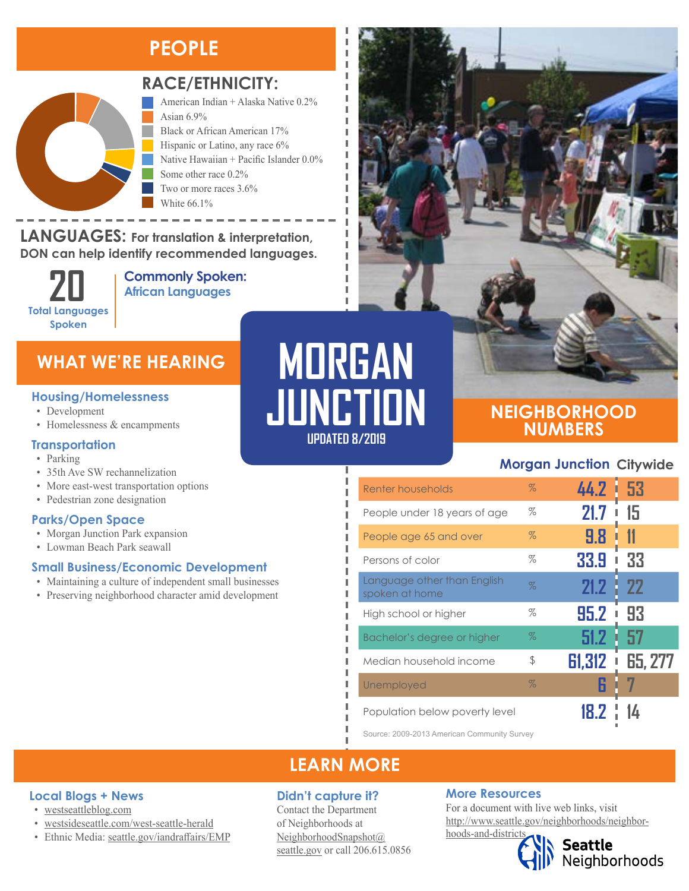### **PEOPLE**



### **RACE/ETHNICITY:**

American Indian + Alaska Native 0.2% Asian  $6.9\%$ Black or African American 17% Hispanic or Latino, any race 6% Native Hawaiian + Pacific Islander 0.0% Some other race 0.2% Two or more races 3.6% White 66.1%

**LANGUAGES:** For translation & interpretation, **DON can help identify recommended languages.** Native Hawaiian and Other Pacific Islander Some Other Race

> **Total Languages Spoken**

American Indian and Alaska Native Asian

**Commonly Spoken: 20 African Languages**

### **WHAT WE'RE HEARING**

#### **Housing/Homelessness**

- Development
- Homelessness & encampments

#### **Transportation**

- Parking
- 35th Ave SW rechannelization
- More east-west transportation options
- Pedestrian zone designation

#### **Parks/Open Space**

**Local Blogs + News** • [westseattleblog.com](http://westseattleblog.com/)

• [westsideseattle.com](https://www.westsideseattle.com/west-seattle-herald)/west-seattle-herald • Ethnic Media: [seattle.gov/iandraffairs/EMP](http://www.seattle.gov/iandraffairs/EMP)

- Morgan Junction Park expansion
- Lowman Beach Park seawall

#### **Small Business/Economic Development**

- Maintaining a culture of independent small businesses
- Preserving neighborhood character amid development

# **MORGAN JUNCTION**

**UPDATED 8/2019**

### **NEIGHBORHOOD NUMBERS**

### **Morgan Junction Citywide**

| Renter households                             | $\%$ | 44.2 53     |                |
|-----------------------------------------------|------|-------------|----------------|
| People under 18 years of age                  | $\%$ | 21.7        | 15             |
| People age 65 and over                        | $\%$ | 9.8         |                |
| Persons of color                              | %    | 33.9<br>I   | 33             |
| Language other than English<br>spoken at home | $\%$ | 21.2        | - 22           |
| High school or higher                         | %    | 95.2<br>I   | 93             |
| Bachelor's degree or higher                   | $\%$ | 51.2        | 57             |
| Median household income                       | \$   | 61,312<br>I | <b>65, 277</b> |
| Unemployed                                    | $\%$ |             |                |
| Population below poverty level                |      |             |                |

Source: 2009-2013 American Community Survey

### **LEARN MORE**

### **Didn't capture it?**

Contact the Department of Neighborhoods at [NeighborhoodSnapshot@](mailto:NeighborhoodSnapshot%40%0Aseattle.gov?subject=) [seattle.gov](mailto:NeighborhoodSnapshot%40%0Aseattle.gov?subject=) or call 206.615.0856

#### **More Resources**

For a document with live web links, visit [http://www.seattle.gov/neighborhoods/neighbor](http://www.seattle.gov/neighborhoods/neighborhoods-and-districts)[hoods-and-districts](http://www.seattle.gov/neighborhoods/neighborhoods-and-districts)

**Seattle**<br>Neighborhoods